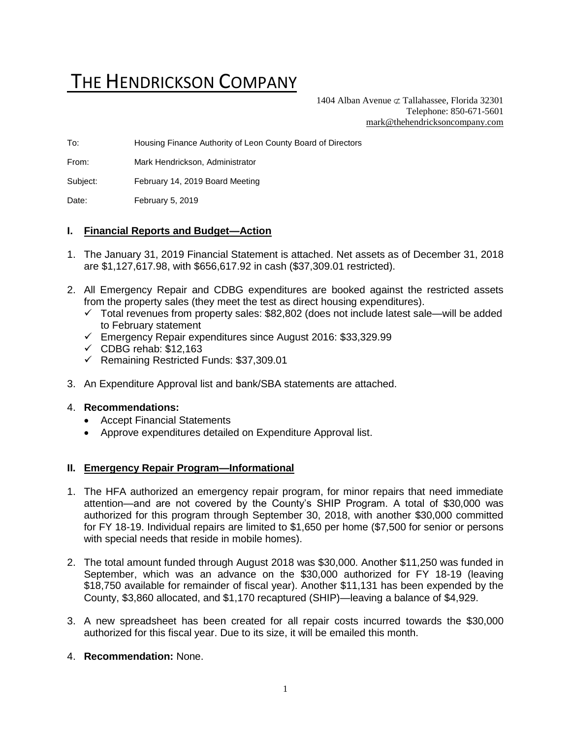# THE HENDRICKSON COMPANY

1404 Alban Avenue  $\subset \text{Tallahasse}$ , Florida 32301 Telephone: 850-671-5601 [mark@thehendricksoncompany.com](mailto:mark@thehendricksoncompany.com)

To: Housing Finance Authority of Leon County Board of Directors

From: Mark Hendrickson, Administrator

Subject: February 14, 2019 Board Meeting

Date: February 5, 2019

#### **I. Financial Reports and Budget—Action**

- 1. The January 31, 2019 Financial Statement is attached. Net assets as of December 31, 2018 are \$1,127,617.98, with \$656,617.92 in cash (\$37,309.01 restricted).
- 2. All Emergency Repair and CDBG expenditures are booked against the restricted assets from the property sales (they meet the test as direct housing expenditures).
	- $\checkmark$  Total revenues from property sales: \$82,802 (does not include latest sale—will be added to February statement
	- ✓ Emergency Repair expenditures since August 2016: \$33,329.99
	- $\checkmark$  CDBG rehab: \$12,163
	- ✓ Remaining Restricted Funds: \$37,309.01
- 3. An Expenditure Approval list and bank/SBA statements are attached.

#### 4. **Recommendations:**

- Accept Financial Statements
- Approve expenditures detailed on Expenditure Approval list.

### **II. Emergency Repair Program—Informational**

- 1. The HFA authorized an emergency repair program, for minor repairs that need immediate attention—and are not covered by the County's SHIP Program. A total of \$30,000 was authorized for this program through September 30, 2018, with another \$30,000 committed for FY 18-19. Individual repairs are limited to \$1,650 per home (\$7,500 for senior or persons with special needs that reside in mobile homes).
- 2. The total amount funded through August 2018 was \$30,000. Another \$11,250 was funded in September, which was an advance on the \$30,000 authorized for FY 18-19 (leaving \$18,750 available for remainder of fiscal year). Another \$11,131 has been expended by the County, \$3,860 allocated, and \$1,170 recaptured (SHIP)—leaving a balance of \$4,929.
- 3. A new spreadsheet has been created for all repair costs incurred towards the \$30,000 authorized for this fiscal year. Due to its size, it will be emailed this month.
- 4. **Recommendation:** None.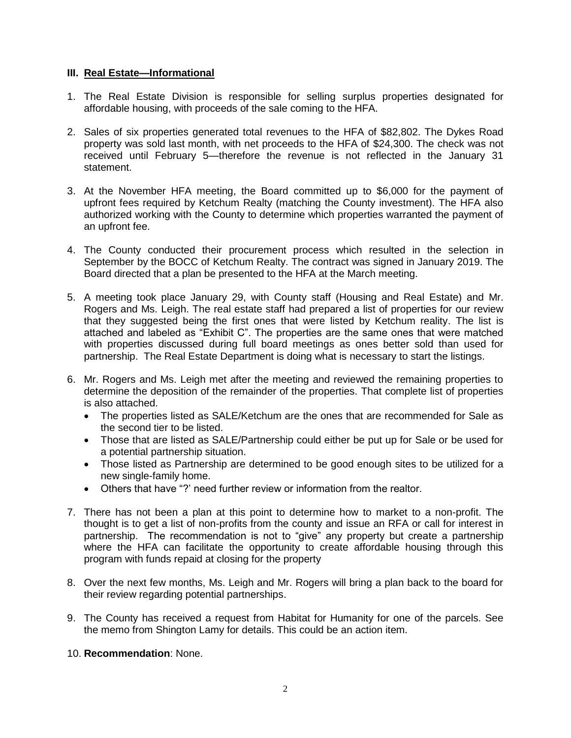#### **III. Real Estate—Informational**

- 1. The Real Estate Division is responsible for selling surplus properties designated for affordable housing, with proceeds of the sale coming to the HFA.
- 2. Sales of six properties generated total revenues to the HFA of \$82,802. The Dykes Road property was sold last month, with net proceeds to the HFA of \$24,300. The check was not received until February 5—therefore the revenue is not reflected in the January 31 statement.
- 3. At the November HFA meeting, the Board committed up to \$6,000 for the payment of upfront fees required by Ketchum Realty (matching the County investment). The HFA also authorized working with the County to determine which properties warranted the payment of an upfront fee.
- 4. The County conducted their procurement process which resulted in the selection in September by the BOCC of Ketchum Realty. The contract was signed in January 2019. The Board directed that a plan be presented to the HFA at the March meeting.
- 5. A meeting took place January 29, with County staff (Housing and Real Estate) and Mr. Rogers and Ms. Leigh. The real estate staff had prepared a list of properties for our review that they suggested being the first ones that were listed by Ketchum reality. The list is attached and labeled as "Exhibit C". The properties are the same ones that were matched with properties discussed during full board meetings as ones better sold than used for partnership. The Real Estate Department is doing what is necessary to start the listings.
- 6. Mr. Rogers and Ms. Leigh met after the meeting and reviewed the remaining properties to determine the deposition of the remainder of the properties. That complete list of properties is also attached.
	- The properties listed as SALE/Ketchum are the ones that are recommended for Sale as the second tier to be listed.
	- Those that are listed as SALE/Partnership could either be put up for Sale or be used for a potential partnership situation.
	- Those listed as Partnership are determined to be good enough sites to be utilized for a new single-family home.
	- Others that have "?' need further review or information from the realtor.
- 7. There has not been a plan at this point to determine how to market to a non-profit. The thought is to get a list of non-profits from the county and issue an RFA or call for interest in partnership. The recommendation is not to "give" any property but create a partnership where the HFA can facilitate the opportunity to create affordable housing through this program with funds repaid at closing for the property
- 8. Over the next few months, Ms. Leigh and Mr. Rogers will bring a plan back to the board for their review regarding potential partnerships.
- 9. The County has received a request from Habitat for Humanity for one of the parcels. See the memo from Shington Lamy for details. This could be an action item.

### 10. **Recommendation**: None.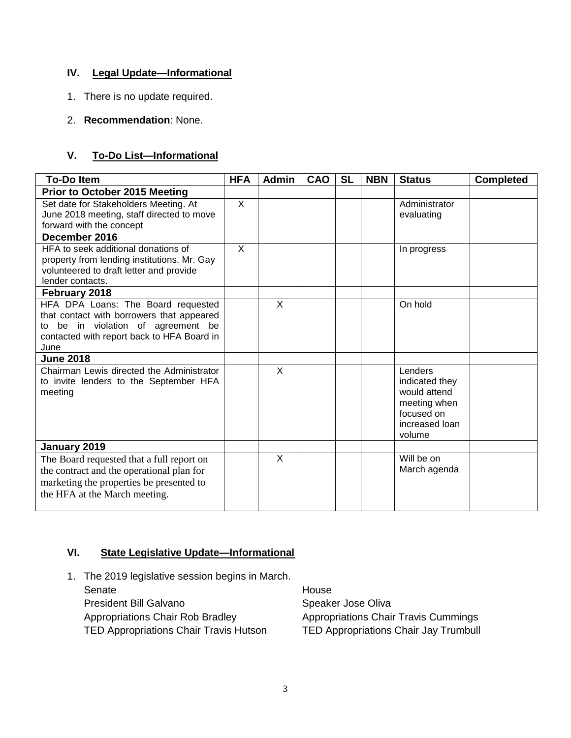## **IV. Legal Update—Informational**

- 1. There is no update required.
- 2. **Recommendation**: None.

## **V. To-Do List—Informational**

| <b>To-Do Item</b>                                           | <b>HFA</b>              | <b>Admin</b> | CAO | <b>SL</b> | <b>NBN</b> | <b>Status</b>            | <b>Completed</b> |
|-------------------------------------------------------------|-------------------------|--------------|-----|-----------|------------|--------------------------|------------------|
| <b>Prior to October 2015 Meeting</b>                        |                         |              |     |           |            |                          |                  |
| Set date for Stakeholders Meeting. At                       | $\mathsf{X}$            |              |     |           |            | Administrator            |                  |
| June 2018 meeting, staff directed to move                   |                         |              |     |           |            | evaluating               |                  |
| forward with the concept                                    |                         |              |     |           |            |                          |                  |
| December 2016                                               |                         |              |     |           |            |                          |                  |
| HFA to seek additional donations of                         | $\overline{\mathsf{x}}$ |              |     |           |            | In progress              |                  |
| property from lending institutions. Mr. Gay                 |                         |              |     |           |            |                          |                  |
| volunteered to draft letter and provide<br>lender contacts. |                         |              |     |           |            |                          |                  |
| February 2018                                               |                         |              |     |           |            |                          |                  |
| HFA DPA Loans: The Board requested                          |                         | X            |     |           |            | On hold                  |                  |
| that contact with borrowers that appeared                   |                         |              |     |           |            |                          |                  |
| to be in violation of agreement be                          |                         |              |     |           |            |                          |                  |
| contacted with report back to HFA Board in                  |                         |              |     |           |            |                          |                  |
| June                                                        |                         |              |     |           |            |                          |                  |
| <b>June 2018</b>                                            |                         |              |     |           |            |                          |                  |
| Chairman Lewis directed the Administrator                   |                         | $\sf X$      |     |           |            | Lenders                  |                  |
| to invite lenders to the September HFA                      |                         |              |     |           |            | indicated they           |                  |
| meeting                                                     |                         |              |     |           |            | would attend             |                  |
|                                                             |                         |              |     |           |            | meeting when             |                  |
|                                                             |                         |              |     |           |            | focused on               |                  |
|                                                             |                         |              |     |           |            | increased loan<br>volume |                  |
| January 2019                                                |                         |              |     |           |            |                          |                  |
| The Board requested that a full report on                   |                         | X            |     |           |            | Will be on               |                  |
| the contract and the operational plan for                   |                         |              |     |           |            | March agenda             |                  |
| marketing the properties be presented to                    |                         |              |     |           |            |                          |                  |
| the HFA at the March meeting.                               |                         |              |     |           |            |                          |                  |
|                                                             |                         |              |     |           |            |                          |                  |

### **VI. State Legislative Update—Informational**

1. The 2019 legislative session begins in March. Senate House President Bill Galvano Speaker Jose Oliva Appropriations Chair Rob Bradley **Appropriations Chair Travis Cummings** TED Appropriations Chair Travis Hutson TED Appropriations Chair Jay Trumbull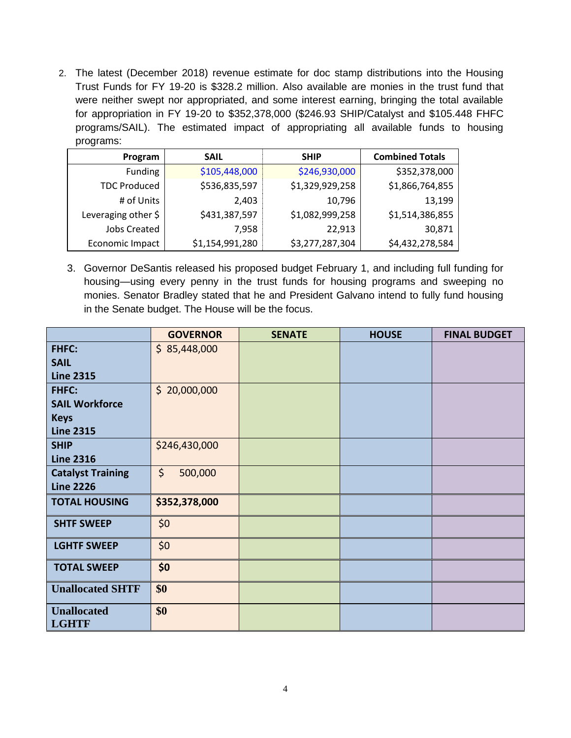2. The latest (December 2018) revenue estimate for doc stamp distributions into the Housing Trust Funds for FY 19-20 is \$328.2 million. Also available are monies in the trust fund that were neither swept nor appropriated, and some interest earning, bringing the total available for appropriation in FY 19-20 to \$352,378,000 (\$246.93 SHIP/Catalyst and \$105.448 FHFC programs/SAIL). The estimated impact of appropriating all available funds to housing programs:

| ັ                              |                 |                 |                        |
|--------------------------------|-----------------|-----------------|------------------------|
| Program                        | <b>SAIL</b>     | <b>SHIP</b>     | <b>Combined Totals</b> |
| <b>Funding</b>                 | \$105,448,000   | \$246,930,000   | \$352,378,000          |
| <b>TDC Produced</b>            | \$536,835,597   | \$1,329,929,258 | \$1,866,764,855        |
| # of Units                     | 2,403           | 10,796          | 13,199                 |
| Leveraging other $\frac{1}{2}$ | \$431,387,597   | \$1,082,999,258 | \$1,514,386,855        |
| <b>Jobs Created</b>            | 7,958           | 22,913          | 30,871                 |
| Economic Impact                | \$1,154,991,280 | \$3,277,287,304 | \$4,432,278,584        |

3. Governor DeSantis released his proposed budget February 1, and including full funding for housing—using every penny in the trust funds for housing programs and sweeping no monies. Senator Bradley stated that he and President Galvano intend to fully fund housing in the Senate budget. The House will be the focus.

|                          | <b>GOVERNOR</b>    | <b>SENATE</b> | <b>HOUSE</b> | <b>FINAL BUDGET</b> |
|--------------------------|--------------------|---------------|--------------|---------------------|
| <b>FHFC:</b>             | \$85,448,000       |               |              |                     |
| <b>SAIL</b>              |                    |               |              |                     |
| <b>Line 2315</b>         |                    |               |              |                     |
| <b>FHFC:</b>             | \$20,000,000       |               |              |                     |
| <b>SAIL Workforce</b>    |                    |               |              |                     |
| <b>Keys</b>              |                    |               |              |                     |
| <b>Line 2315</b>         |                    |               |              |                     |
| <b>SHIP</b>              | \$246,430,000      |               |              |                     |
| <b>Line 2316</b>         |                    |               |              |                     |
| <b>Catalyst Training</b> | $\zeta$<br>500,000 |               |              |                     |
| <b>Line 2226</b>         |                    |               |              |                     |
| <b>TOTAL HOUSING</b>     | \$352,378,000      |               |              |                     |
| <b>SHTF SWEEP</b>        | \$0                |               |              |                     |
| <b>LGHTF SWEEP</b>       | \$0                |               |              |                     |
| <b>TOTAL SWEEP</b>       | \$0                |               |              |                     |
| <b>Unallocated SHTF</b>  | \$0                |               |              |                     |
| <b>Unallocated</b>       | \$0                |               |              |                     |
| <b>LGHTF</b>             |                    |               |              |                     |